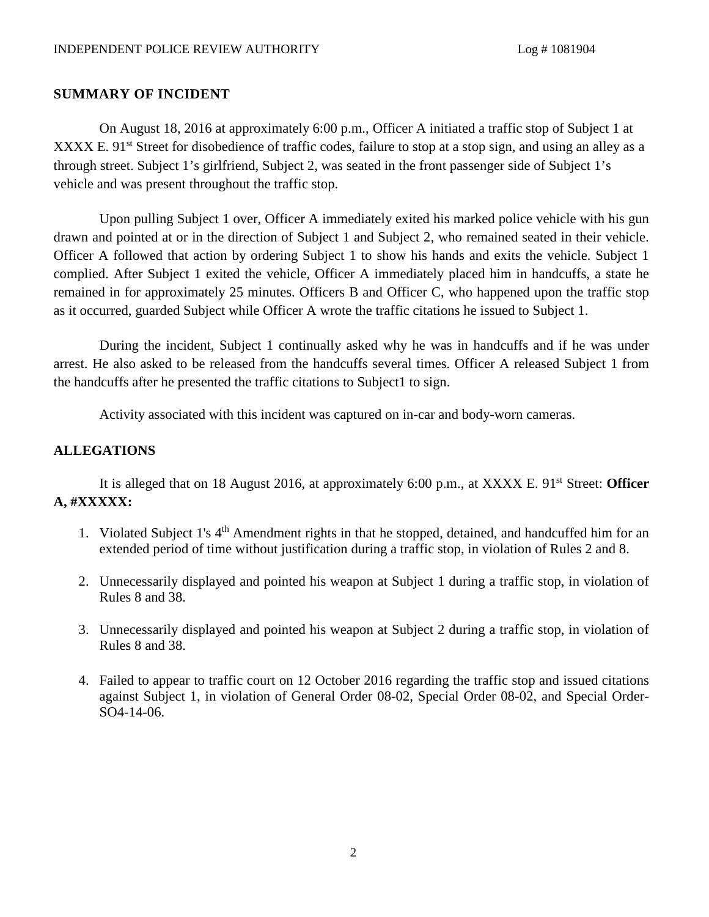## **SUMMARY OF INCIDENT**

On August 18, 2016 at approximately 6:00 p.m., Officer A initiated a traffic stop of Subject 1 at XXXX E. 91<sup>st</sup> Street for disobedience of traffic codes, failure to stop at a stop sign, and using an alley as a through street. Subject 1's girlfriend, Subject 2, was seated in the front passenger side of Subject 1's vehicle and was present throughout the traffic stop.

Upon pulling Subject 1 over, Officer A immediately exited his marked police vehicle with his gun drawn and pointed at or in the direction of Subject 1 and Subject 2, who remained seated in their vehicle. Officer A followed that action by ordering Subject 1 to show his hands and exits the vehicle. Subject 1 complied. After Subject 1 exited the vehicle, Officer A immediately placed him in handcuffs, a state he remained in for approximately 25 minutes. Officers B and Officer C, who happened upon the traffic stop as it occurred, guarded Subject while Officer A wrote the traffic citations he issued to Subject 1.

During the incident, Subject 1 continually asked why he was in handcuffs and if he was under arrest. He also asked to be released from the handcuffs several times. Officer A released Subject 1 from the handcuffs after he presented the traffic citations to Subject1 to sign.

Activity associated with this incident was captured on in-car and body-worn cameras.

# **ALLEGATIONS**

It is alleged that on 18 August 2016, at approximately 6:00 p.m., at XXXX E. 91st Street: **Officer A, #XXXXX:**

- 1. Violated Subject 1's 4<sup>th</sup> Amendment rights in that he stopped, detained, and handcuffed him for an extended period of time without justification during a traffic stop, in violation of Rules 2 and 8.
- 2. Unnecessarily displayed and pointed his weapon at Subject 1 during a traffic stop, in violation of Rules 8 and 38.
- 3. Unnecessarily displayed and pointed his weapon at Subject 2 during a traffic stop, in violation of Rules 8 and 38.
- 4. Failed to appear to traffic court on 12 October 2016 regarding the traffic stop and issued citations against Subject 1, in violation of General Order 08-02, Special Order 08-02, and Special Order-SO4-14-06.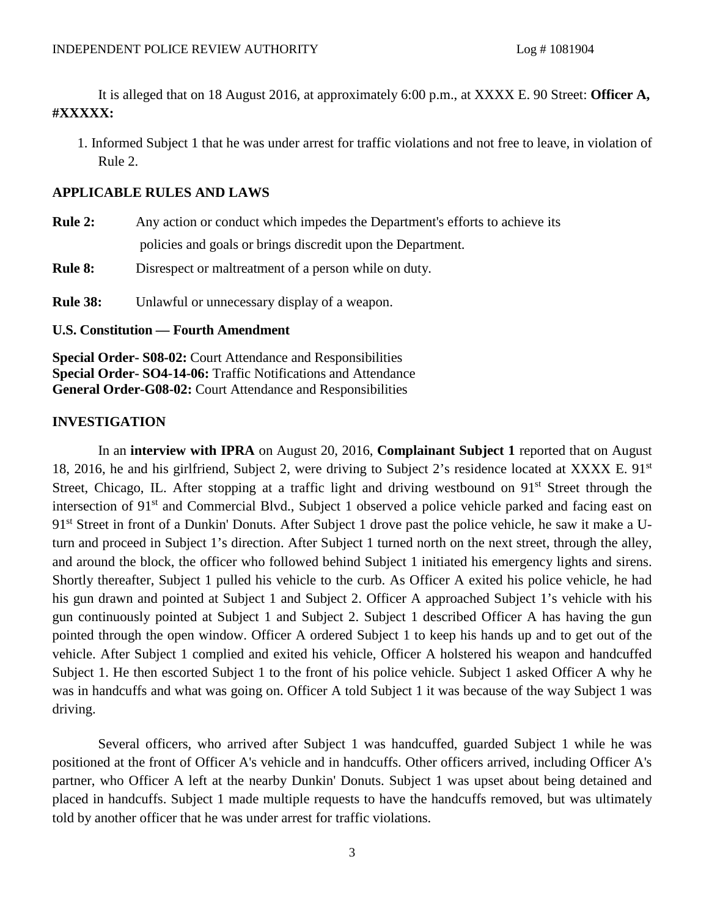It is alleged that on 18 August 2016, at approximately 6:00 p.m., at XXXX E. 90 Street: **Officer A, #XXXXX:**

1. Informed Subject 1 that he was under arrest for traffic violations and not free to leave, in violation of Rule 2.

## **APPLICABLE RULES AND LAWS**

| <b>Rule 2:</b> | Any action or conduct which impedes the Department's efforts to achieve its |
|----------------|-----------------------------------------------------------------------------|
|                | policies and goals or brings discredit upon the Department.                 |
| <b>Rule 8:</b> | Disrespect or maltreatment of a person while on duty.                       |

**Rule 38:** Unlawful or unnecessary display of a weapon.

**U.S. Constitution — Fourth Amendment**

**Special Order- S08-02:** Court Attendance and Responsibilities **Special Order- SO4-14-06:** Traffic Notifications and Attendance **General Order-G08-02:** Court Attendance and Responsibilities

## **INVESTIGATION**

In an **interview with IPRA** on August 20, 2016, **Complainant Subject 1** reported that on August 18, 2016, he and his girlfriend, Subject 2, were driving to Subject 2's residence located at XXXX E. 91<sup>st</sup> Street, Chicago, IL. After stopping at a traffic light and driving westbound on 91<sup>st</sup> Street through the intersection of 91<sup>st</sup> and Commercial Blvd., Subject 1 observed a police vehicle parked and facing east on 91<sup>st</sup> Street in front of a Dunkin' Donuts. After Subject 1 drove past the police vehicle, he saw it make a Uturn and proceed in Subject 1's direction. After Subject 1 turned north on the next street, through the alley, and around the block, the officer who followed behind Subject 1 initiated his emergency lights and sirens. Shortly thereafter, Subject 1 pulled his vehicle to the curb. As Officer A exited his police vehicle, he had his gun drawn and pointed at Subject 1 and Subject 2. Officer A approached Subject 1's vehicle with his gun continuously pointed at Subject 1 and Subject 2. Subject 1 described Officer A has having the gun pointed through the open window. Officer A ordered Subject 1 to keep his hands up and to get out of the vehicle. After Subject 1 complied and exited his vehicle, Officer A holstered his weapon and handcuffed Subject 1. He then escorted Subject 1 to the front of his police vehicle. Subject 1 asked Officer A why he was in handcuffs and what was going on. Officer A told Subject 1 it was because of the way Subject 1 was driving.

Several officers, who arrived after Subject 1 was handcuffed, guarded Subject 1 while he was positioned at the front of Officer A's vehicle and in handcuffs. Other officers arrived, including Officer A's partner, who Officer A left at the nearby Dunkin' Donuts. Subject 1 was upset about being detained and placed in handcuffs. Subject 1 made multiple requests to have the handcuffs removed, but was ultimately told by another officer that he was under arrest for traffic violations.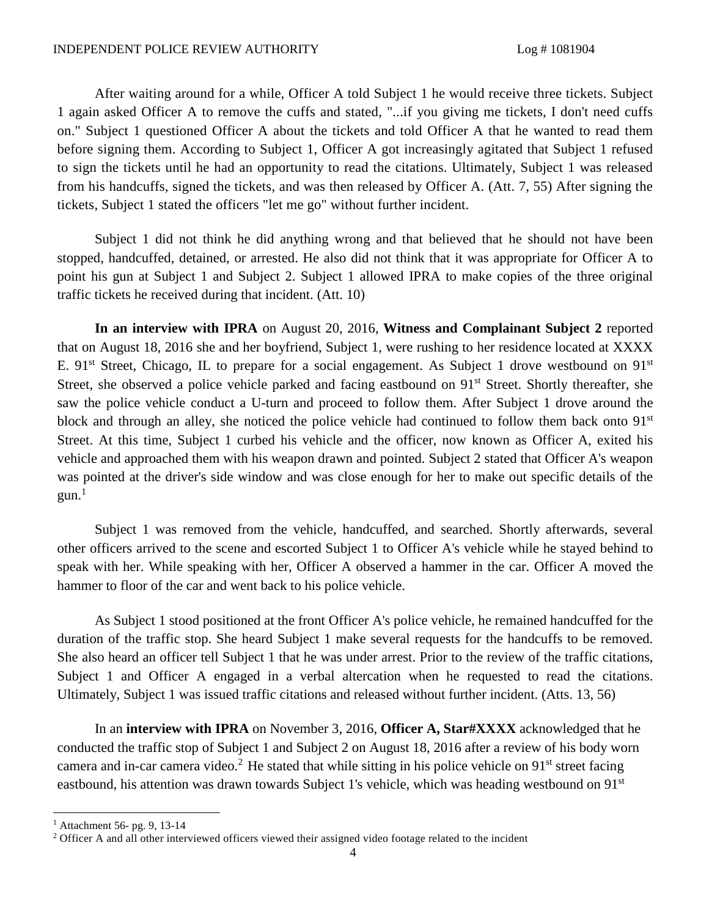After waiting around for a while, Officer A told Subject 1 he would receive three tickets. Subject 1 again asked Officer A to remove the cuffs and stated, "...if you giving me tickets, I don't need cuffs on." Subject 1 questioned Officer A about the tickets and told Officer A that he wanted to read them before signing them. According to Subject 1, Officer A got increasingly agitated that Subject 1 refused to sign the tickets until he had an opportunity to read the citations. Ultimately, Subject 1 was released from his handcuffs, signed the tickets, and was then released by Officer A. (Att. 7, 55) After signing the tickets, Subject 1 stated the officers "let me go" without further incident.

Subject 1 did not think he did anything wrong and that believed that he should not have been stopped, handcuffed, detained, or arrested. He also did not think that it was appropriate for Officer A to point his gun at Subject 1 and Subject 2. Subject 1 allowed IPRA to make copies of the three original traffic tickets he received during that incident. (Att. 10)

**In an interview with IPRA** on August 20, 2016, **Witness and Complainant Subject 2** reported that on August 18, 2016 she and her boyfriend, Subject 1, were rushing to her residence located at XXXX E.  $91<sup>st</sup>$  Street, Chicago, IL to prepare for a social engagement. As Subject 1 drove westbound on  $91<sup>st</sup>$ Street, she observed a police vehicle parked and facing eastbound on 91<sup>st</sup> Street. Shortly thereafter, she saw the police vehicle conduct a U-turn and proceed to follow them. After Subject 1 drove around the block and through an alley, she noticed the police vehicle had continued to follow them back onto  $91<sup>st</sup>$ Street. At this time, Subject 1 curbed his vehicle and the officer, now known as Officer A, exited his vehicle and approached them with his weapon drawn and pointed. Subject 2 stated that Officer A's weapon was [p](#page-2-0)ointed at the driver's side window and was close enough for her to make out specific details of the  $g$ un.<sup>1</sup>

Subject 1 was removed from the vehicle, handcuffed, and searched. Shortly afterwards, several other officers arrived to the scene and escorted Subject 1 to Officer A's vehicle while he stayed behind to speak with her. While speaking with her, Officer A observed a hammer in the car. Officer A moved the hammer to floor of the car and went back to his police vehicle.

As Subject 1 stood positioned at the front Officer A's police vehicle, he remained handcuffed for the duration of the traffic stop. She heard Subject 1 make several requests for the handcuffs to be removed. She also heard an officer tell Subject 1 that he was under arrest. Prior to the review of the traffic citations, Subject 1 and Officer A engaged in a verbal altercation when he requested to read the citations. Ultimately, Subject 1 was issued traffic citations and released without further incident. (Atts. 13, 56)

In an **interview with IPRA** on November 3, 2016, **Officer A, Star#XXXX** acknowledged that he [conducted the traffic stop of Subject 1 and Subject 2 on August 18, 2016 after a review of his body worn](#page-2-1) camera and in-car camera video.<sup>2</sup> He stated that while sitting in his police vehicle on  $91<sup>st</sup>$  street facing eastbound, his attention was drawn towards Subject 1's vehicle, which was heading westbound on 91<sup>st</sup>

<span id="page-2-1"></span><span id="page-2-0"></span><sup>1</sup> Attachment 56- pg. 9, 13-14

<sup>&</sup>lt;sup>2</sup> Officer A and all other interviewed officers viewed their assigned video footage related to the incident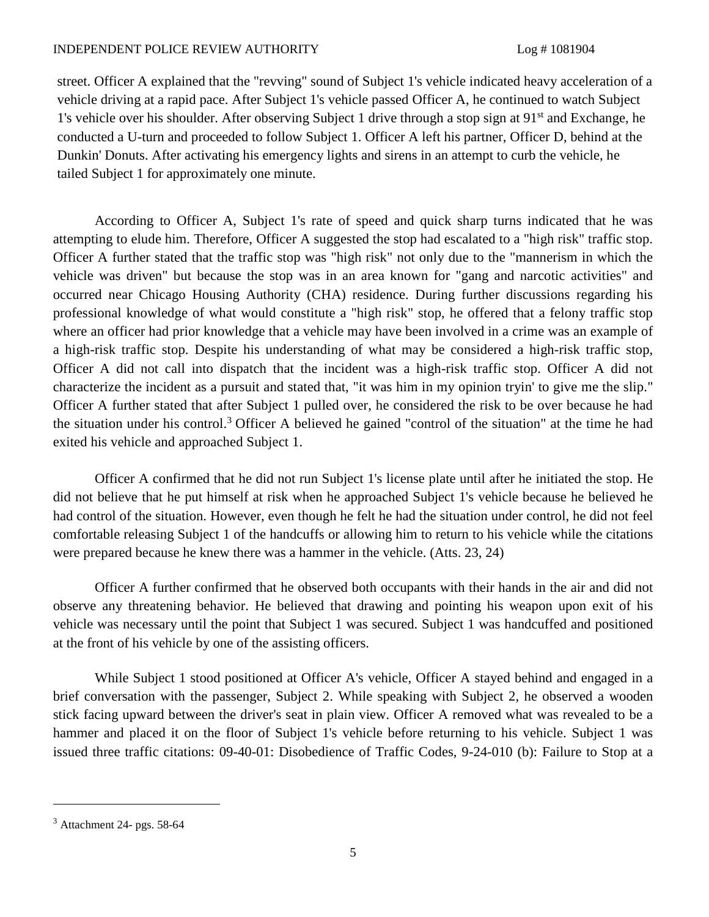## INDEPENDENT POLICE REVIEW AUTHORITY Log # 1081904

street. Officer A explained that the "revving" sound of Subject 1's vehicle indicated heavy acceleration of a vehicle driving at a rapid pace. After Subject 1's vehicle passed Officer A, he continued to watch Subject 1's vehicle over his shoulder. After observing Subject 1 drive through a stop sign at 91st and Exchange, he conducted a U-turn and proceeded to follow Subject 1. Officer A left his partner, Officer D, behind at the Dunkin' Donuts. After activating his emergency lights and sirens in an attempt to curb the vehicle, he tailed Subject 1 for approximately one minute.

According to Officer A, Subject 1's rate of speed and quick sharp turns indicated that he was attempting to elude him. Therefore, Officer A suggested the stop had escalated to a "high risk" traffic stop. Officer A further stated that the traffic stop was "high risk" not only due to the "mannerism in which the vehicle was driven" but because the stop was in an area known for "gang and narcotic activities" and occurred near Chicago Housing Authority (CHA) residence. During further discussions regarding his professional knowledge of what would constitute a "high risk" stop, he offered that a felony traffic stop where an officer had prior knowledge that a vehicle may have been involved in a crime was an example of a high-risk traffic stop. Despite his understanding of what may be considered a high-risk traffic stop, Officer A did not call into dispatch that the incident was a high-risk traffic stop. Officer A did not characterize the incident as a pursuit and stated that, "it was him in my opinion tryin' to give me the slip." [Officer A further stated that after Subject 1 pulled over, he considered the risk to be over because he had](#page-3-0) the situation under his control.<sup>3</sup> Officer A believed he gained "control of the situation" at the time he had exited his vehicle and approached Subject 1.

Officer A confirmed that he did not run Subject 1's license plate until after he initiated the stop. He did not believe that he put himself at risk when he approached Subject 1's vehicle because he believed he had control of the situation. However, even though he felt he had the situation under control, he did not feel comfortable releasing Subject 1 of the handcuffs or allowing him to return to his vehicle while the citations were prepared because he knew there was a hammer in the vehicle. (Atts. 23, 24)

Officer A further confirmed that he observed both occupants with their hands in the air and did not observe any threatening behavior. He believed that drawing and pointing his weapon upon exit of his vehicle was necessary until the point that Subject 1 was secured. Subject 1 was handcuffed and positioned at the front of his vehicle by one of the assisting officers.

While Subject 1 stood positioned at Officer A's vehicle, Officer A stayed behind and engaged in a brief conversation with the passenger, Subject 2. While speaking with Subject 2, he observed a wooden stick facing upward between the driver's seat in plain view. Officer A removed what was revealed to be a hammer and placed it on the floor of Subject 1's vehicle before returning to his vehicle. Subject 1 was issued three traffic citations: 09-40-01: Disobedience of Traffic Codes, 9-24-010 (b): Failure to Stop at a

<span id="page-3-0"></span><sup>3</sup> Attachment 24- pgs. 58-64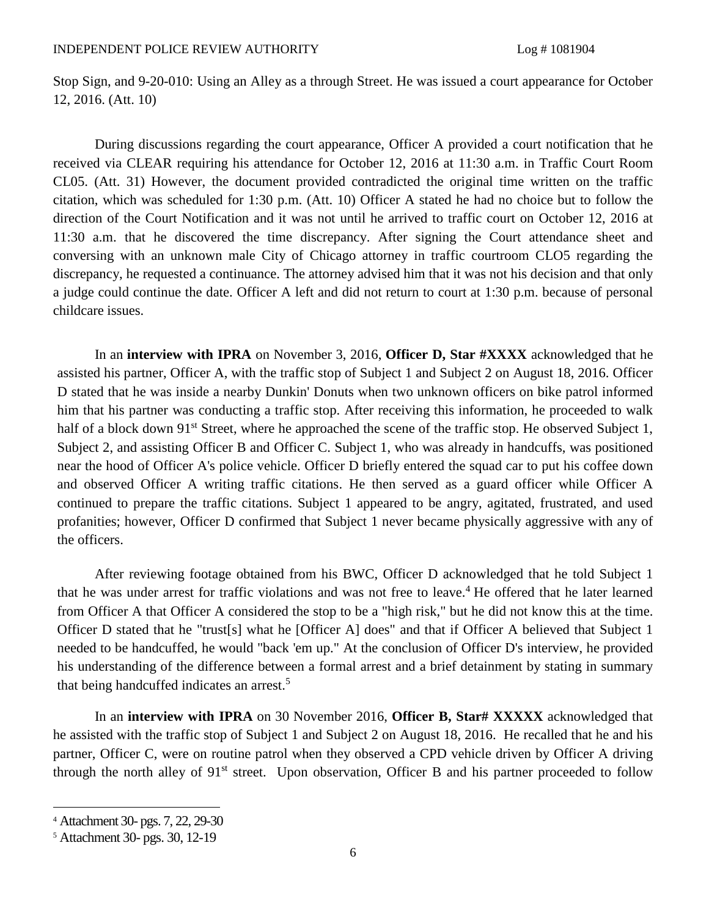Stop Sign, and 9-20-010: Using an Alley as a through Street. He was issued a court appearance for October 12, 2016. (Att. 10)

During discussions regarding the court appearance, Officer A provided a court notification that he received via CLEAR requiring his attendance for October 12, 2016 at 11:30 a.m. in Traffic Court Room CL05. (Att. 31) However, the document provided contradicted the original time written on the traffic citation, which was scheduled for 1:30 p.m. (Att. 10) Officer A stated he had no choice but to follow the direction of the Court Notification and it was not until he arrived to traffic court on October 12, 2016 at 11:30 a.m. that he discovered the time discrepancy. After signing the Court attendance sheet and conversing with an unknown male City of Chicago attorney in traffic courtroom CLO5 regarding the discrepancy, he requested a continuance. The attorney advised him that it was not his decision and that only a judge could continue the date. Officer A left and did not return to court at 1:30 p.m. because of personal childcare issues.

In an **interview with IPRA** on November 3, 2016, **Officer D, Star #XXXX** acknowledged that he assisted his partner, Officer A, with the traffic stop of Subject 1 and Subject 2 on August 18, 2016. Officer D stated that he was inside a nearby Dunkin' Donuts when two unknown officers on bike patrol informed him that his partner was conducting a traffic stop. After receiving this information, he proceeded to walk half of a block down 91<sup>st</sup> Street, where he approached the scene of the traffic stop. He observed Subject 1, Subject 2, and assisting Officer B and Officer C. Subject 1, who was already in handcuffs, was positioned near the hood of Officer A's police vehicle. Officer D briefly entered the squad car to put his coffee down and observed Officer A writing traffic citations. He then served as a guard officer while Officer A continued to prepare the traffic citations. Subject 1 appeared to be angry, agitated, frustrated, and used profanities; however, Officer D confirmed that Subject 1 never became physically aggressive with any of the officers.

[After reviewing footage obtained from his BWC, Officer D acknowledged that he told Subject 1](#page-4-0) that he was under arrest for traffic violations and was not free to leave.<sup>4</sup> He offered that he later learned from Officer A that Officer A considered the stop to be a "high risk," but he did not know this at the time. Officer D stated that he "trust[s] what he [Officer A] does" and that if Officer A believed that Subject 1 needed to be handcuffed, he would "back 'em up." At the conclusion of Officer D's interview, he provided [his understanding of the difference between a formal arrest and a brief detainment by stating in summary](#page-4-1) that being handcuffed indicates an arrest.<sup>[5](#page-4-1)</sup>

In an **interview with IPRA** on 30 November 2016, **Officer B, Star# XXXXX** acknowledged that he assisted with the traffic stop of Subject 1 and Subject 2 on August 18, 2016. He recalled that he and his partner, Officer C, were on routine patrol when they observed a CPD vehicle driven by Officer A driving through the north alley of 91<sup>st</sup> street. Upon observation, Officer B and his partner proceeded to follow

<span id="page-4-0"></span><sup>4</sup> Attachment 30- pgs. 7, 22, 29-30

<span id="page-4-1"></span><sup>5</sup> Attachment 30- pgs. 30, 12-19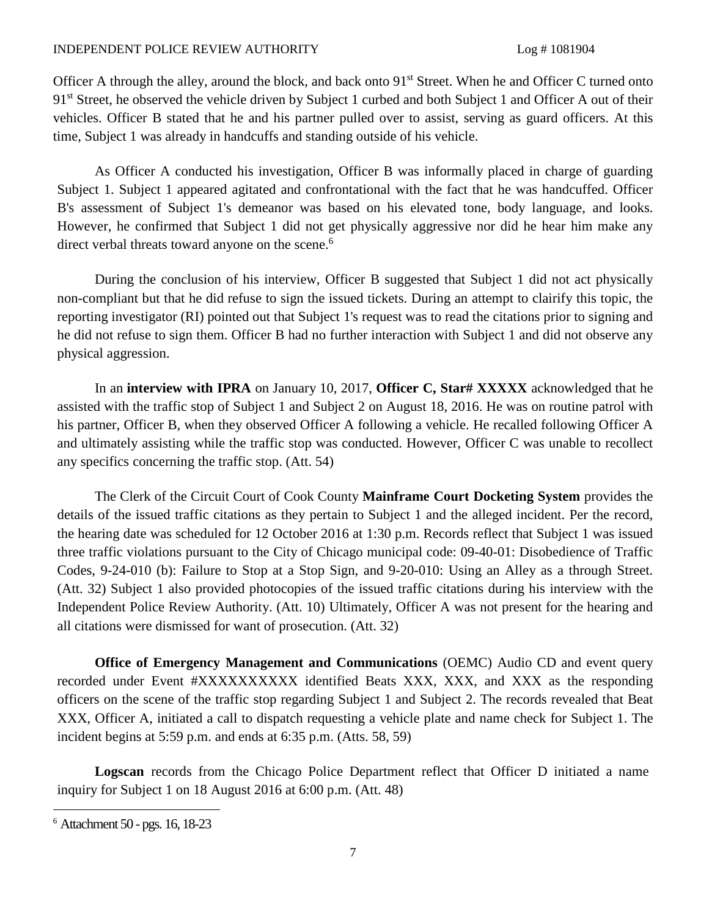## INDEPENDENT POLICE REVIEW AUTHORITY Log # 1081904

Officer A through the alley, around the block, and back onto 91<sup>st</sup> Street. When he and Officer C turned onto 91st Street, he observed the vehicle driven by Subject 1 curbed and both Subject 1 and Officer A out of their vehicles. Officer B stated that he and his partner pulled over to assist, serving as guard officers. At this time, Subject 1 was already in handcuffs and standing outside of his vehicle.

As Officer A conducted his investigation, Officer B was informally placed in charge of guarding Subject 1. Subject 1 appeared agitated and confrontational with the fact that he was handcuffed. Officer B's assessment of Subject 1's demeanor was based on his elevated tone, body language, and looks. However, he confirmed that Subject 1 didnot [ge](#page-5-0)t physically aggressive nor did he hear him make any direct verbal threats toward anyone on the scene.<sup>6</sup>

During the conclusion of his interview, Officer B suggested that Subject 1 did not act physically non-compliant but that he did refuse to sign the issued tickets. During an attempt to clairify this topic, the reporting investigator (RI) pointed out that Subject 1's request was to read the citations prior to signing and he did not refuse to sign them. Officer B had no further interaction with Subject 1 and did not observe any physical aggression.

In an **interview with IPRA** on January 10, 2017, **Officer C, Star# XXXXX** acknowledged that he assisted with the traffic stop of Subject 1 and Subject 2 on August 18, 2016. He was on routine patrol with his partner, Officer B, when they observed Officer A following a vehicle. He recalled following Officer A and ultimately assisting while the traffic stop was conducted. However, Officer C was unable to recollect any specifics concerning the traffic stop. (Att. 54)

The Clerk of the Circuit Court of Cook County **Mainframe Court Docketing System** provides the details of the issued traffic citations as they pertain to Subject 1 and the alleged incident. Per the record, the hearing date was scheduled for 12 October 2016 at 1:30 p.m. Records reflect that Subject 1 was issued three traffic violations pursuant to the City of Chicago municipal code: 09-40-01: Disobedience of Traffic Codes, 9-24-010 (b): Failure to Stop at a Stop Sign, and 9-20-010: Using an Alley as a through Street. (Att. 32) Subject 1 also provided photocopies of the issued traffic citations during his interview with the Independent Police Review Authority. (Att. 10) Ultimately, Officer A was not present for the hearing and all citations were dismissed for want of prosecution. (Att. 32)

**Office of Emergency Management and Communications** (OEMC) Audio CD and event query recorded under Event #XXXXXXXXXX identified Beats XXX, XXX, and XXX as the responding officers on the scene of the traffic stop regarding Subject 1 and Subject 2. The records revealed that Beat XXX, Officer A, initiated a call to dispatch requesting a vehicle plate and name check for Subject 1. The incident begins at 5:59 p.m. and ends at 6:35 p.m. (Atts. 58, 59)

**Logscan** records from the Chicago Police Department reflect that Officer D initiated a name inquiry for Subject 1 on 18 August 2016 at 6:00 p.m. (Att. 48)

<span id="page-5-0"></span><sup>6</sup> Attachment 50 - pgs. 16, 18-23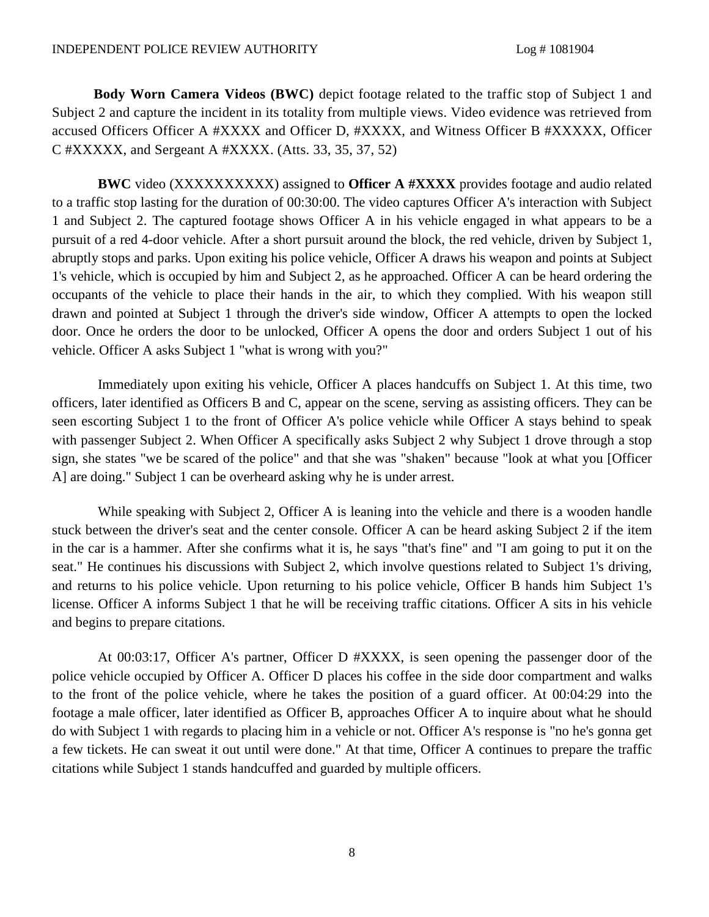**Body Worn Camera Videos (BWC)** depict footage related to the traffic stop of Subject 1 and Subject 2 and capture the incident in its totality from multiple views. Video evidence was retrieved from accused Officers Officer A #XXXX and Officer D, #XXXX, and Witness Officer B #XXXXX, Officer C #XXXXX, and Sergeant A #XXXX. (Atts. 33, 35, 37, 52)

**BWC** video (XXXXXXXXXX) assigned to **Officer A #XXXX** provides footage and audio related to a traffic stop lasting for the duration of 00:30:00. The video captures Officer A's interaction with Subject 1 and Subject 2. The captured footage shows Officer A in his vehicle engaged in what appears to be a pursuit of a red 4-door vehicle. After a short pursuit around the block, the red vehicle, driven by Subject 1, abruptly stops and parks. Upon exiting his police vehicle, Officer A draws his weapon and points at Subject 1's vehicle, which is occupied by him and Subject 2, as he approached. Officer A can be heard ordering the occupants of the vehicle to place their hands in the air, to which they complied. With his weapon still drawn and pointed at Subject 1 through the driver's side window, Officer A attempts to open the locked door. Once he orders the door to be unlocked, Officer A opens the door and orders Subject 1 out of his vehicle. Officer A asks Subject 1 "what is wrong with you?"

Immediately upon exiting his vehicle, Officer A places handcuffs on Subject 1. At this time, two officers, later identified as Officers B and C, appear on the scene, serving as assisting officers. They can be seen escorting Subject 1 to the front of Officer A's police vehicle while Officer A stays behind to speak with passenger Subject 2. When Officer A specifically asks Subject 2 why Subject 1 drove through a stop sign, she states "we be scared of the police" and that she was "shaken" because "look at what you [Officer A] are doing." Subject 1 can be overheard asking why he is under arrest.

While speaking with Subject 2, Officer A is leaning into the vehicle and there is a wooden handle stuck between the driver's seat and the center console. Officer A can be heard asking Subject 2 if the item in the car is a hammer. After she confirms what it is, he says "that's fine" and "I am going to put it on the seat." He continues his discussions with Subject 2, which involve questions related to Subject 1's driving, and returns to his police vehicle. Upon returning to his police vehicle, Officer B hands him Subject 1's license. Officer A informs Subject 1 that he will be receiving traffic citations. Officer A sits in his vehicle and begins to prepare citations.

At 00:03:17, Officer A's partner, Officer D #XXXX, is seen opening the passenger door of the police vehicle occupied by Officer A. Officer D places his coffee in the side door compartment and walks to the front of the police vehicle, where he takes the position of a guard officer. At 00:04:29 into the footage a male officer, later identified as Officer B, approaches Officer A to inquire about what he should do with Subject 1 with regards to placing him in a vehicle or not. Officer A's response is "no he's gonna get a few tickets. He can sweat it out until were done." At that time, Officer A continues to prepare the traffic citations while Subject 1 stands handcuffed and guarded by multiple officers.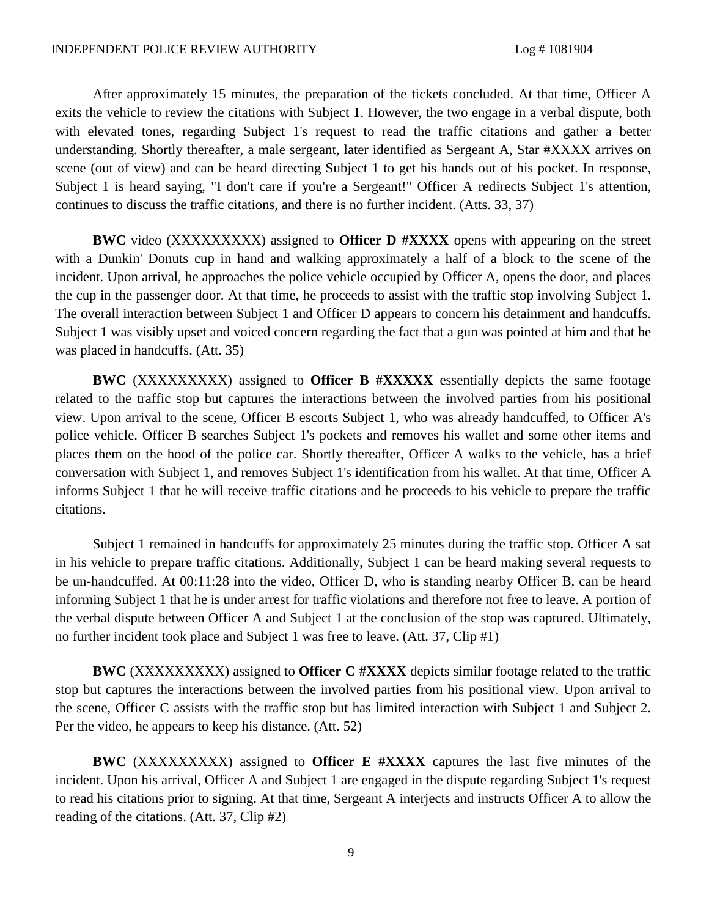After approximately 15 minutes, the preparation of the tickets concluded. At that time, Officer A exits the vehicle to review the citations with Subject 1. However, the two engage in a verbal dispute, both with elevated tones, regarding Subject 1's request to read the traffic citations and gather a better understanding. Shortly thereafter, a male sergeant, later identified as Sergeant A, Star #XXXX arrives on scene (out of view) and can be heard directing Subject 1 to get his hands out of his pocket. In response, Subject 1 is heard saying, "I don't care if you're a Sergeant!" Officer A redirects Subject 1's attention, continues to discuss the traffic citations, and there is no further incident. (Atts. 33, 37)

**BWC** video (XXXXXXXXX) assigned to **Officer D** #XXXX opens with appearing on the street with a Dunkin' Donuts cup in hand and walking approximately a half of a block to the scene of the incident. Upon arrival, he approaches the police vehicle occupied by Officer A, opens the door, and places the cup in the passenger door. At that time, he proceeds to assist with the traffic stop involving Subject 1. The overall interaction between Subject 1 and Officer D appears to concern his detainment and handcuffs. Subject 1 was visibly upset and voiced concern regarding the fact that a gun was pointed at him and that he was placed in handcuffs. (Att. 35)

**BWC** (XXXXXXXXX) assigned to **Officer B #XXXXX** essentially depicts the same footage related to the traffic stop but captures the interactions between the involved parties from his positional view. Upon arrival to the scene, Officer B escorts Subject 1, who was already handcuffed, to Officer A's police vehicle. Officer B searches Subject 1's pockets and removes his wallet and some other items and places them on the hood of the police car. Shortly thereafter, Officer A walks to the vehicle, has a brief conversation with Subject 1, and removes Subject 1's identification from his wallet. At that time, Officer A informs Subject 1 that he will receive traffic citations and he proceeds to his vehicle to prepare the traffic citations.

Subject 1 remained in handcuffs for approximately 25 minutes during the traffic stop. Officer A sat in his vehicle to prepare traffic citations. Additionally, Subject 1 can be heard making several requests to be un-handcuffed. At 00:11:28 into the video, Officer D, who is standing nearby Officer B, can be heard informing Subject 1 that he is under arrest for traffic violations and therefore not free to leave. A portion of the verbal dispute between Officer A and Subject 1 at the conclusion of the stop was captured. Ultimately, no further incident took place and Subject 1 was free to leave. (Att. 37, Clip #1)

**BWC** (XXXXXXXXX) assigned to **Officer C #XXXX** depicts similar footage related to the traffic stop but captures the interactions between the involved parties from his positional view. Upon arrival to the scene, Officer C assists with the traffic stop but has limited interaction with Subject 1 and Subject 2. Per the video, he appears to keep his distance. (Att. 52)

**BWC** (XXXXXXXXX) assigned to **Officer E #XXXX** captures the last five minutes of the incident. Upon his arrival, Officer A and Subject 1 are engaged in the dispute regarding Subject 1's request to read his citations prior to signing. At that time, Sergeant A interjects and instructs Officer A to allow the reading of the citations. (Att. 37, Clip #2)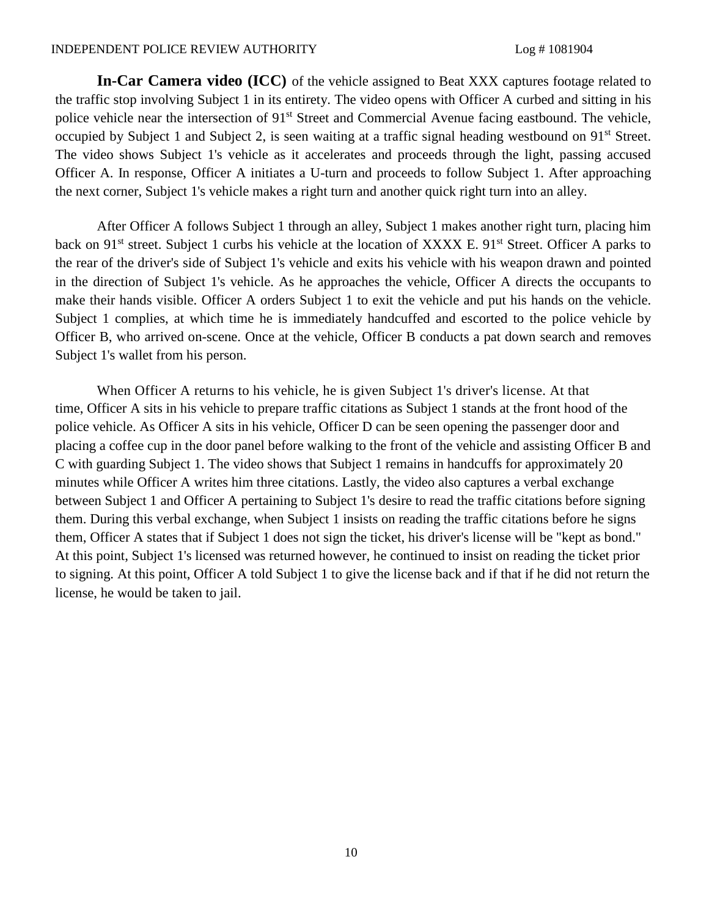**In-Car Camera video (ICC)** of the vehicle assigned to Beat XXX captures footage related to the traffic stop involving Subject 1 in its entirety. The video opens with Officer A curbed and sitting in his police vehicle near the intersection of 91<sup>st</sup> Street and Commercial Avenue facing eastbound. The vehicle, occupied by Subject 1 and Subject 2, is seen waiting at a traffic signal heading westbound on 91st Street. The video shows Subject 1's vehicle as it accelerates and proceeds through the light, passing accused Officer A. In response, Officer A initiates a U-turn and proceeds to follow Subject 1. After approaching the next corner, Subject 1's vehicle makes a right turn and another quick right turn into an alley.

After Officer A follows Subject 1 through an alley, Subject 1 makes another right turn, placing him back on 91<sup>st</sup> street. Subject 1 curbs his vehicle at the location of XXXX E. 91<sup>st</sup> Street. Officer A parks to the rear of the driver's side of Subject 1's vehicle and exits his vehicle with his weapon drawn and pointed in the direction of Subject 1's vehicle. As he approaches the vehicle, Officer A directs the occupants to make their hands visible. Officer A orders Subject 1 to exit the vehicle and put his hands on the vehicle. Subject 1 complies, at which time he is immediately handcuffed and escorted to the police vehicle by Officer B, who arrived on-scene. Once at the vehicle, Officer B conducts a pat down search and removes Subject 1's wallet from his person.

When Officer A returns to his vehicle, he is given Subject 1's driver's license. At that time, Officer A sits in his vehicle to prepare traffic citations as Subject 1 stands at the front hood of the police vehicle. As Officer A sits in his vehicle, Officer D can be seen opening the passenger door and placing a coffee cup in the door panel before walking to the front of the vehicle and assisting Officer B and C with guarding Subject 1. The video shows that Subject 1 remains in handcuffs for approximately 20 minutes while Officer A writes him three citations. Lastly, the video also captures a verbal exchange between Subject 1 and Officer A pertaining to Subject 1's desire to read the traffic citations before signing them. During this verbal exchange, when Subject 1 insists on reading the traffic citations before he signs them, Officer A states that if Subject 1 does not sign the ticket, his driver's license will be "kept as bond." At this point, Subject 1's licensed was returned however, he continued to insist on reading the ticket prior to signing. At this point, Officer A told Subject 1 to give the license back and if that if he did not return the license, he would be taken to jail.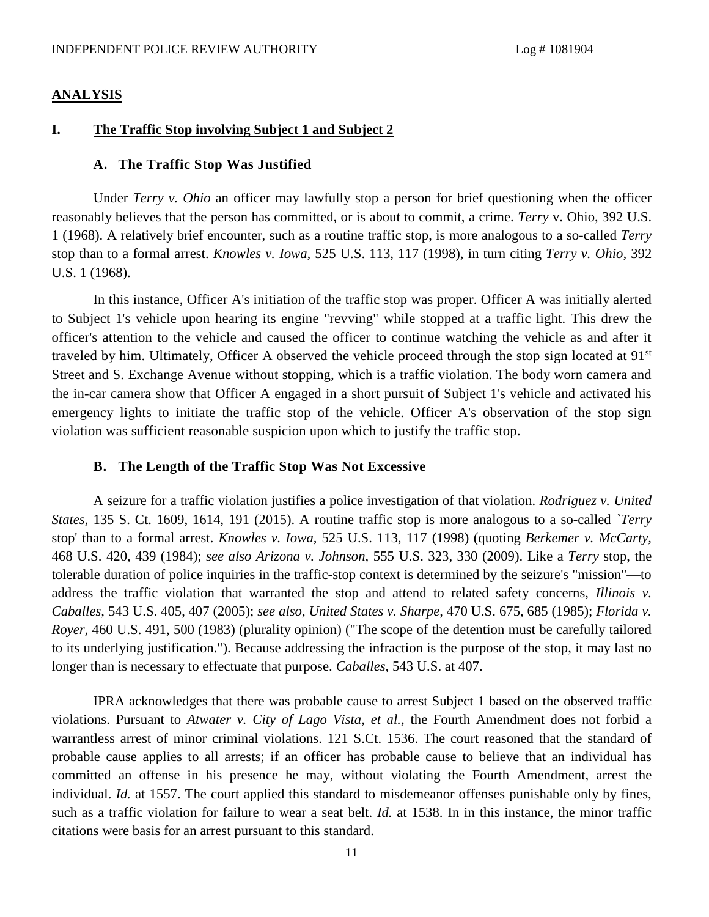## **ANALYSIS**

## **I. The Traffic Stop involving Subject 1 and Subject 2**

#### **A. The Traffic Stop Was Justified**

Under *Terry v. Ohio* an officer may lawfully stop a person for brief questioning when the officer reasonably believes that the person has committed, or is about to commit, a crime. *Terry* v. Ohio, 392 U.S. 1 (1968). A relatively brief encounter, such as a routine traffic stop, is more analogous to a so-called *Terry* stop than to a formal arrest. *Knowles v. Iowa,* 525 U.S. 113, 117 (1998), in turn citing *Terry v. Ohio,* 392 U.S. 1 (1968).

In this instance, Officer A's initiation of the traffic stop was proper. Officer A was initially alerted to Subject 1's vehicle upon hearing its engine "revving" while stopped at a traffic light. This drew the officer's attention to the vehicle and caused the officer to continue watching the vehicle as and after it traveled by him. Ultimately, Officer A observed the vehicle proceed through the stop sign located at 91<sup>st</sup> Street and S. Exchange Avenue without stopping, which is a traffic violation. The body worn camera and the in-car camera show that Officer A engaged in a short pursuit of Subject 1's vehicle and activated his emergency lights to initiate the traffic stop of the vehicle. Officer A's observation of the stop sign violation was sufficient reasonable suspicion upon which to justify the traffic stop.

## **B. The Length of the Traffic Stop Was Not Excessive**

A seizure for a traffic violation justifies a police investigation of that violation. *Rodriguez v. United States,* 135 S. Ct. 1609, 1614, 191 (2015). A routine traffic stop is more analogous to a so-called *`Terry* stop' than to a formal arrest. *Knowles v. Iowa,* 525 U.S. 113, 117 (1998) (quoting *Berkemer v. McCarty,* 468 U.S. 420, 439 (1984); *see also Arizona v. Johnson,* 555 U.S. 323, 330 (2009). Like a *Terry* stop, the tolerable duration of police inquiries in the traffic-stop context is determined by the seizure's "mission"—to address the traffic violation that warranted the stop and attend to related safety concerns, *Illinois v. Caballes,* 543 U.S. 405, 407 (2005); *see also, United States v. Sharpe,* 470 U.S. 675, 685 (1985); *Florida v. Royer,* 460 U.S. 491, 500 (1983) (plurality opinion) ("The scope of the detention must be carefully tailored to its underlying justification."). Because addressing the infraction is the purpose of the stop, it may last no longer than is necessary to effectuate that purpose. *Caballes,* 543 U.S. at 407.

IPRA acknowledges that there was probable cause to arrest Subject 1 based on the observed traffic violations. Pursuant to *Atwater v. City of Lago Vista, et al.,* the Fourth Amendment does not forbid a warrantless arrest of minor criminal violations. 121 S.Ct. 1536. The court reasoned that the standard of probable cause applies to all arrests; if an officer has probable cause to believe that an individual has committed an offense in his presence he may, without violating the Fourth Amendment, arrest the individual. *Id.* at 1557. The court applied this standard to misdemeanor offenses punishable only by fines, such as a traffic violation for failure to wear a seat belt. *Id.* at 1538. In in this instance, the minor traffic citations were basis for an arrest pursuant to this standard.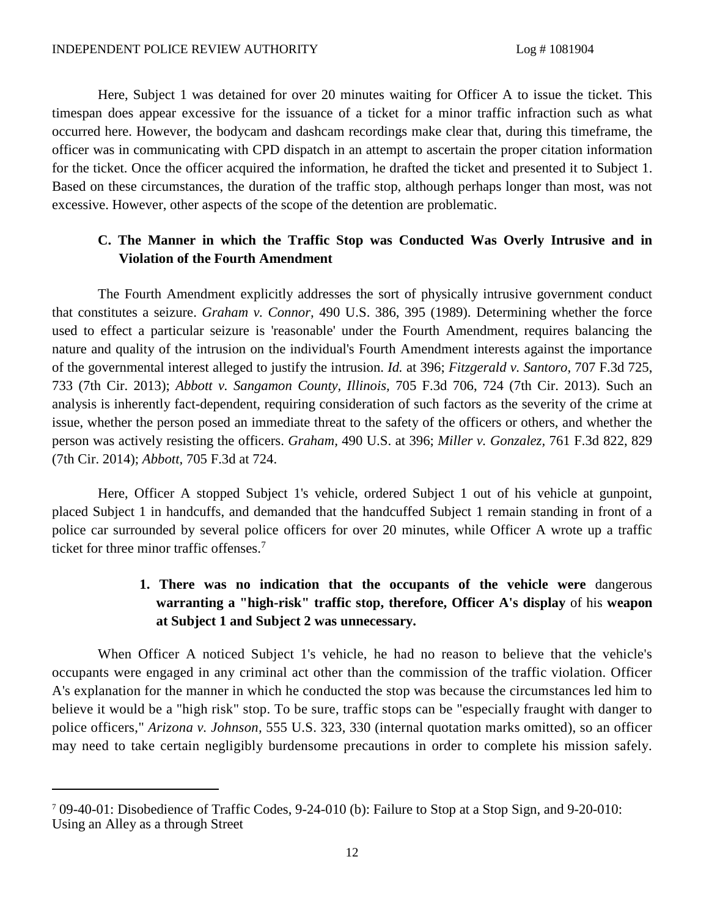Here, Subject 1 was detained for over 20 minutes waiting for Officer A to issue the ticket. This timespan does appear excessive for the issuance of a ticket for a minor traffic infraction such as what occurred here. However, the bodycam and dashcam recordings make clear that, during this timeframe, the officer was in communicating with CPD dispatch in an attempt to ascertain the proper citation information for the ticket. Once the officer acquired the information, he drafted the ticket and presented it to Subject 1. Based on these circumstances, the duration of the traffic stop, although perhaps longer than most, was not excessive. However, other aspects of the scope of the detention are problematic.

# **C. The Manner in which the Traffic Stop was Conducted Was Overly Intrusive and in Violation of the Fourth Amendment**

The Fourth Amendment explicitly addresses the sort of physically intrusive government conduct that constitutes a seizure. *Graham v. Connor,* 490 U.S. 386, 395 (1989). Determining whether the force used to effect a particular seizure is 'reasonable' under the Fourth Amendment, requires balancing the nature and quality of the intrusion on the individual's Fourth Amendment interests against the importance of the governmental interest alleged to justify the intrusion. *Id.* at 396; *Fitzgerald v. Santoro,* 707 F.3d 725, 733 (7th Cir. 2013); *Abbott v. Sangamon County, Illinois,* 705 F.3d 706, 724 (7th Cir. 2013). Such an analysis is inherently fact-dependent, requiring consideration of such factors as the severity of the crime at issue, whether the person posed an immediate threat to the safety of the officers or others, and whether the person was actively resisting the officers. *Graham,* 490 U.S. at 396; *Miller v. Gonzalez,* 761 F.3d 822, 829 (7th Cir. 2014); *Abbott,* 705 F.3d at 724.

Here, Officer A stopped Subject 1's vehicle, ordered Subject 1 out of his vehicle at gunpoint, placed Subject 1 in handcuffs, and demanded that the handcuffed Subject 1 remain standing in front of a police car surrounded by severalpo[lic](#page-10-0)e officers for over 20 minutes, while Officer A wrote up a traffic ticket for three minor traffic offenses.<sup>7</sup>

# **1. There was no indication that the occupants of the vehicle were** dangerous **warranting a "high-risk" traffic stop, therefore, Officer A's display** of his **weapon at Subject 1 and Subject 2 was unnecessary.**

When Officer A noticed Subject 1's vehicle, he had no reason to believe that the vehicle's occupants were engaged in any criminal act other than the commission of the traffic violation. Officer A's explanation for the manner in which he conducted the stop was because the circumstances led him to believe it would be a "high risk" stop. To be sure, traffic stops can be "especially fraught with danger to police officers," *Arizona v. Johnson,* 555 U.S. 323, 330 (internal quotation marks omitted), so an officer may need to take certain negligibly burdensome precautions in order to complete his mission safely.

<span id="page-10-0"></span><sup>7</sup> 09-40-01: Disobedience of Traffic Codes, 9-24-010 (b): Failure to Stop at a Stop Sign, and 9-20-010: Using an Alley as a through Street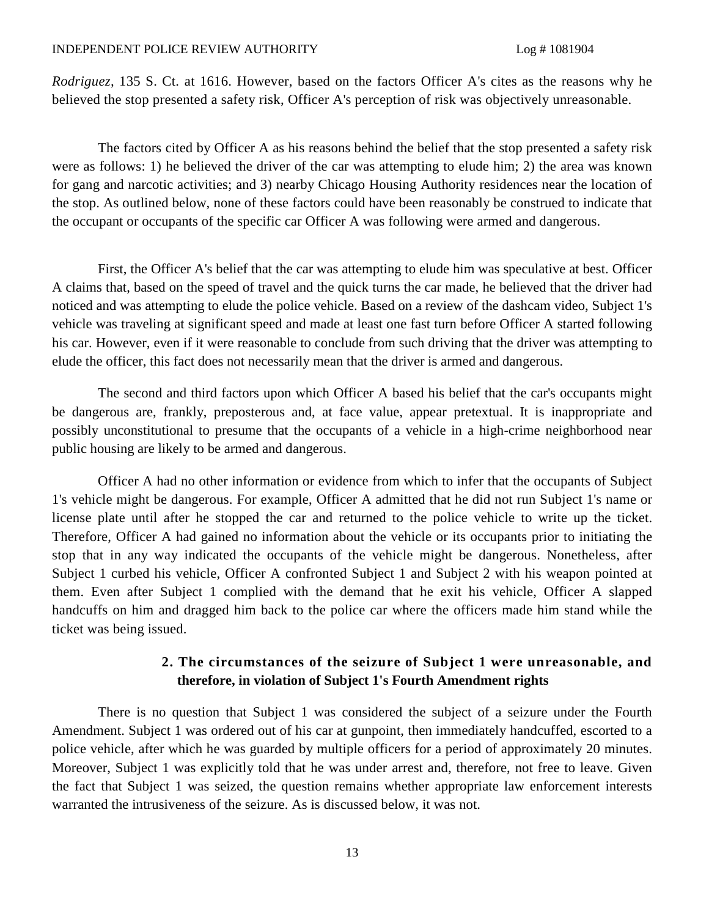#### INDEPENDENT POLICE REVIEW AUTHORITY Log # 1081904

*Rodriguez,* 135 S. Ct. at 1616. However, based on the factors Officer A's cites as the reasons why he believed the stop presented a safety risk, Officer A's perception of risk was objectively unreasonable.

The factors cited by Officer A as his reasons behind the belief that the stop presented a safety risk were as follows: 1) he believed the driver of the car was attempting to elude him; 2) the area was known for gang and narcotic activities; and 3) nearby Chicago Housing Authority residences near the location of the stop. As outlined below, none of these factors could have been reasonably be construed to indicate that the occupant or occupants of the specific car Officer A was following were armed and dangerous.

First, the Officer A's belief that the car was attempting to elude him was speculative at best. Officer A claims that, based on the speed of travel and the quick turns the car made, he believed that the driver had noticed and was attempting to elude the police vehicle. Based on a review of the dashcam video, Subject 1's vehicle was traveling at significant speed and made at least one fast turn before Officer A started following his car. However, even if it were reasonable to conclude from such driving that the driver was attempting to elude the officer, this fact does not necessarily mean that the driver is armed and dangerous.

The second and third factors upon which Officer A based his belief that the car's occupants might be dangerous are, frankly, preposterous and, at face value, appear pretextual. It is inappropriate and possibly unconstitutional to presume that the occupants of a vehicle in a high-crime neighborhood near public housing are likely to be armed and dangerous.

Officer A had no other information or evidence from which to infer that the occupants of Subject 1's vehicle might be dangerous. For example, Officer A admitted that he did not run Subject 1's name or license plate until after he stopped the car and returned to the police vehicle to write up the ticket. Therefore, Officer A had gained no information about the vehicle or its occupants prior to initiating the stop that in any way indicated the occupants of the vehicle might be dangerous. Nonetheless, after Subject 1 curbed his vehicle, Officer A confronted Subject 1 and Subject 2 with his weapon pointed at them. Even after Subject 1 complied with the demand that he exit his vehicle, Officer A slapped handcuffs on him and dragged him back to the police car where the officers made him stand while the ticket was being issued.

# **2. The circumstances of the seizure of Subject 1 were unreasonable, and therefore, in violation of Subject 1's Fourth Amendment rights**

There is no question that Subject 1 was considered the subject of a seizure under the Fourth Amendment. Subject 1 was ordered out of his car at gunpoint, then immediately handcuffed, escorted to a police vehicle, after which he was guarded by multiple officers for a period of approximately 20 minutes. Moreover, Subject 1 was explicitly told that he was under arrest and, therefore, not free to leave. Given the fact that Subject 1 was seized, the question remains whether appropriate law enforcement interests warranted the intrusiveness of the seizure. As is discussed below, it was not.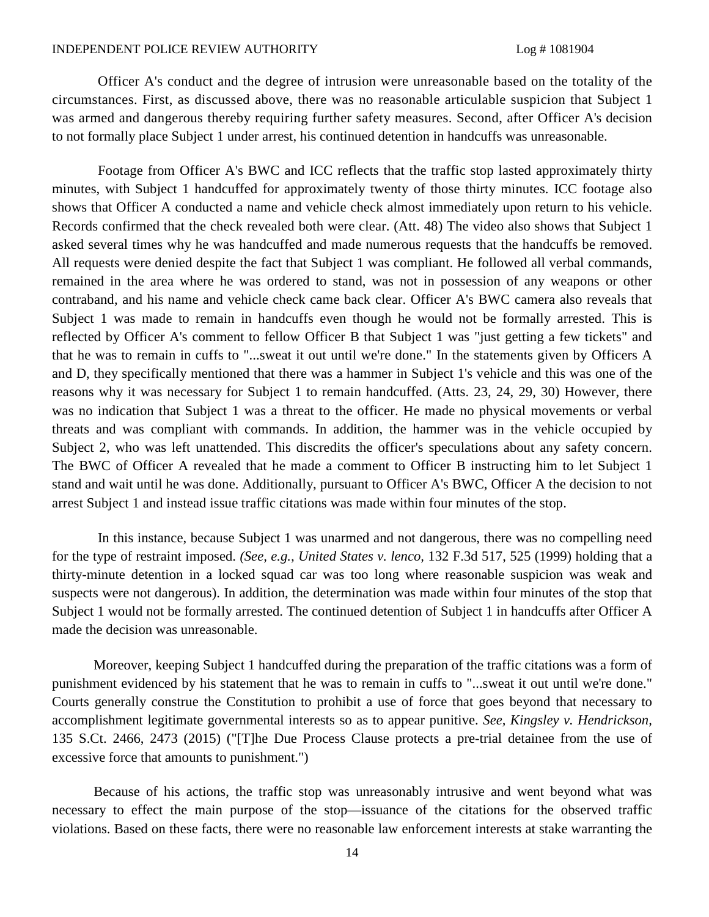Officer A's conduct and the degree of intrusion were unreasonable based on the totality of the circumstances. First, as discussed above, there was no reasonable articulable suspicion that Subject 1 was armed and dangerous thereby requiring further safety measures. Second, after Officer A's decision to not formally place Subject 1 under arrest, his continued detention in handcuffs was unreasonable.

Footage from Officer A's BWC and ICC reflects that the traffic stop lasted approximately thirty minutes, with Subject 1 handcuffed for approximately twenty of those thirty minutes. ICC footage also shows that Officer A conducted a name and vehicle check almost immediately upon return to his vehicle. Records confirmed that the check revealed both were clear. (Att. 48) The video also shows that Subject 1 asked several times why he was handcuffed and made numerous requests that the handcuffs be removed. All requests were denied despite the fact that Subject 1 was compliant. He followed all verbal commands, remained in the area where he was ordered to stand, was not in possession of any weapons or other contraband, and his name and vehicle check came back clear. Officer A's BWC camera also reveals that Subject 1 was made to remain in handcuffs even though he would not be formally arrested. This is reflected by Officer A's comment to fellow Officer B that Subject 1 was "just getting a few tickets" and that he was to remain in cuffs to "...sweat it out until we're done." In the statements given by Officers A and D, they specifically mentioned that there was a hammer in Subject 1's vehicle and this was one of the reasons why it was necessary for Subject 1 to remain handcuffed. (Atts. 23, 24, 29, 30) However, there was no indication that Subject 1 was a threat to the officer. He made no physical movements or verbal threats and was compliant with commands. In addition, the hammer was in the vehicle occupied by Subject 2, who was left unattended. This discredits the officer's speculations about any safety concern. The BWC of Officer A revealed that he made a comment to Officer B instructing him to let Subject 1 stand and wait until he was done. Additionally, pursuant to Officer A's BWC, Officer A the decision to not arrest Subject 1 and instead issue traffic citations was made within four minutes of the stop.

In this instance, because Subject 1 was unarmed and not dangerous, there was no compelling need for the type of restraint imposed. *(See, e.g., United States v. lenco,* 132 F.3d 517, 525 (1999) holding that a thirty-minute detention in a locked squad car was too long where reasonable suspicion was weak and suspects were not dangerous). In addition, the determination was made within four minutes of the stop that Subject 1 would not be formally arrested. The continued detention of Subject 1 in handcuffs after Officer A made the decision was unreasonable.

Moreover, keeping Subject 1 handcuffed during the preparation of the traffic citations was a form of punishment evidenced by his statement that he was to remain in cuffs to "...sweat it out until we're done." Courts generally construe the Constitution to prohibit a use of force that goes beyond that necessary to accomplishment legitimate governmental interests so as to appear punitive. *See, Kingsley v. Hendrickson,* 135 S.Ct. 2466, 2473 (2015) ("[T]he Due Process Clause protects a pre-trial detainee from the use of excessive force that amounts to punishment.")

Because of his actions, the traffic stop was unreasonably intrusive and went beyond what was necessary to effect the main purpose of the stop—issuance of the citations for the observed traffic violations. Based on these facts, there were no reasonable law enforcement interests at stake warranting the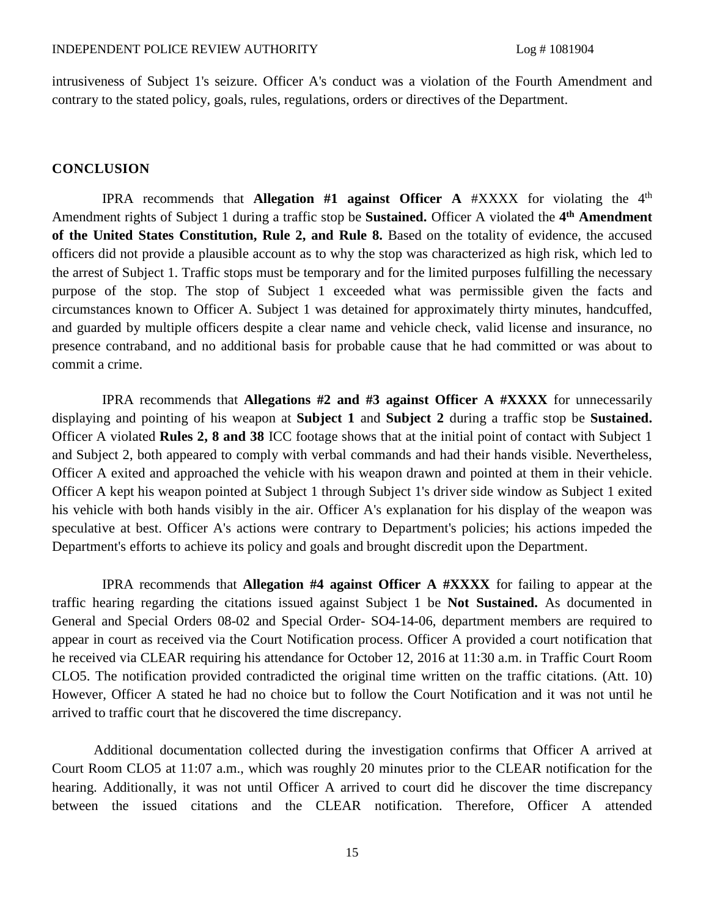intrusiveness of Subject 1's seizure. Officer A's conduct was a violation of the Fourth Amendment and contrary to the stated policy, goals, rules, regulations, orders or directives of the Department.

## **CONCLUSION**

IPRA recommends that **Allegation #1 against Officer A**  $\#XXXX$  for violating the  $4<sup>th</sup>$ Amendment rights of Subject 1 during a traffic stop be **Sustained.** Officer A violated the **4 th Amendment of the United States Constitution, Rule 2, and Rule 8.** Based on the totality of evidence, the accused officers did not provide a plausible account as to why the stop was characterized as high risk, which led to the arrest of Subject 1. Traffic stops must be temporary and for the limited purposes fulfilling the necessary purpose of the stop. The stop of Subject 1 exceeded what was permissible given the facts and circumstances known to Officer A. Subject 1 was detained for approximately thirty minutes, handcuffed, and guarded by multiple officers despite a clear name and vehicle check, valid license and insurance, no presence contraband, and no additional basis for probable cause that he had committed or was about to commit a crime.

IPRA recommends that **Allegations #2 and #3 against Officer A #XXXX** for unnecessarily displaying and pointing of his weapon at **Subject 1** and **Subject 2** during a traffic stop be **Sustained.** Officer A violated **Rules 2, 8 and 38** ICC footage shows that at the initial point of contact with Subject 1 and Subject 2, both appeared to comply with verbal commands and had their hands visible. Nevertheless, Officer A exited and approached the vehicle with his weapon drawn and pointed at them in their vehicle. Officer A kept his weapon pointed at Subject 1 through Subject 1's driver side window as Subject 1 exited his vehicle with both hands visibly in the air. Officer A's explanation for his display of the weapon was speculative at best. Officer A's actions were contrary to Department's policies; his actions impeded the Department's efforts to achieve its policy and goals and brought discredit upon the Department.

IPRA recommends that **Allegation #4 against Officer A #XXXX** for failing to appear at the traffic hearing regarding the citations issued against Subject 1 be **Not Sustained.** As documented in General and Special Orders 08-02 and Special Order- SO4-14-06, department members are required to appear in court as received via the Court Notification process. Officer A provided a court notification that he received via CLEAR requiring his attendance for October 12, 2016 at 11:30 a.m. in Traffic Court Room CLO5. The notification provided contradicted the original time written on the traffic citations. (Att. 10) However, Officer A stated he had no choice but to follow the Court Notification and it was not until he arrived to traffic court that he discovered the time discrepancy.

Additional documentation collected during the investigation confirms that Officer A arrived at Court Room CLO5 at 11:07 a.m., which was roughly 20 minutes prior to the CLEAR notification for the hearing. Additionally, it was not until Officer A arrived to court did he discover the time discrepancy between the issued citations and the CLEAR notification. Therefore, Officer A attended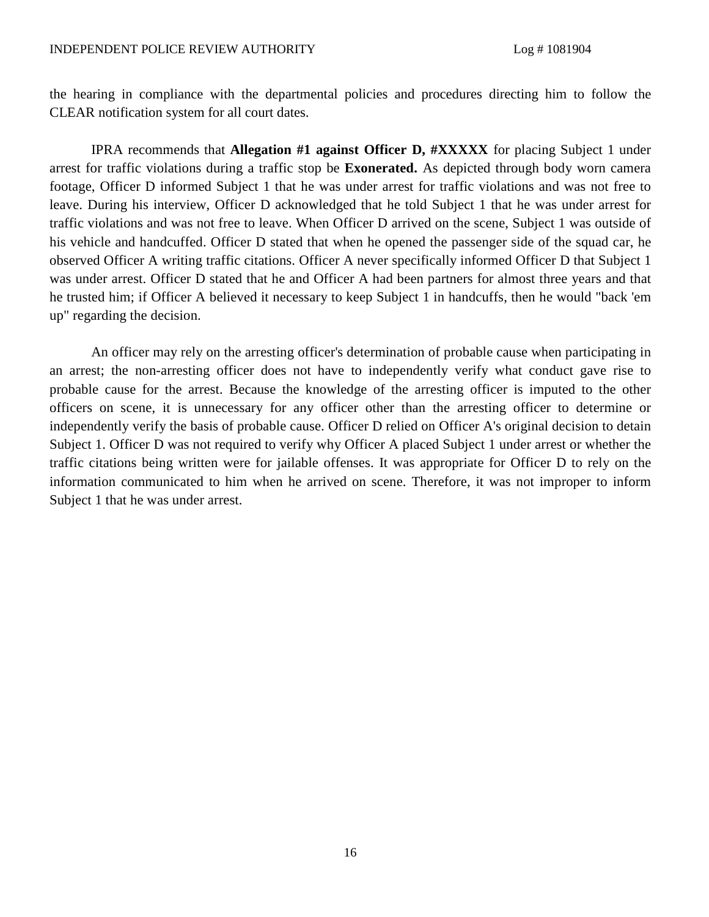the hearing in compliance with the departmental policies and procedures directing him to follow the CLEAR notification system for all court dates.

IPRA recommends that **Allegation #1 against Officer D, #XXXXX** for placing Subject 1 under arrest for traffic violations during a traffic stop be **Exonerated.** As depicted through body worn camera footage, Officer D informed Subject 1 that he was under arrest for traffic violations and was not free to leave. During his interview, Officer D acknowledged that he told Subject 1 that he was under arrest for traffic violations and was not free to leave. When Officer D arrived on the scene, Subject 1 was outside of his vehicle and handcuffed. Officer D stated that when he opened the passenger side of the squad car, he observed Officer A writing traffic citations. Officer A never specifically informed Officer D that Subject 1 was under arrest. Officer D stated that he and Officer A had been partners for almost three years and that he trusted him; if Officer A believed it necessary to keep Subject 1 in handcuffs, then he would "back 'em up" regarding the decision.

An officer may rely on the arresting officer's determination of probable cause when participating in an arrest; the non-arresting officer does not have to independently verify what conduct gave rise to probable cause for the arrest. Because the knowledge of the arresting officer is imputed to the other officers on scene, it is unnecessary for any officer other than the arresting officer to determine or independently verify the basis of probable cause. Officer D relied on Officer A's original decision to detain Subject 1. Officer D was not required to verify why Officer A placed Subject 1 under arrest or whether the traffic citations being written were for jailable offenses. It was appropriate for Officer D to rely on the information communicated to him when he arrived on scene. Therefore, it was not improper to inform Subject 1 that he was under arrest.